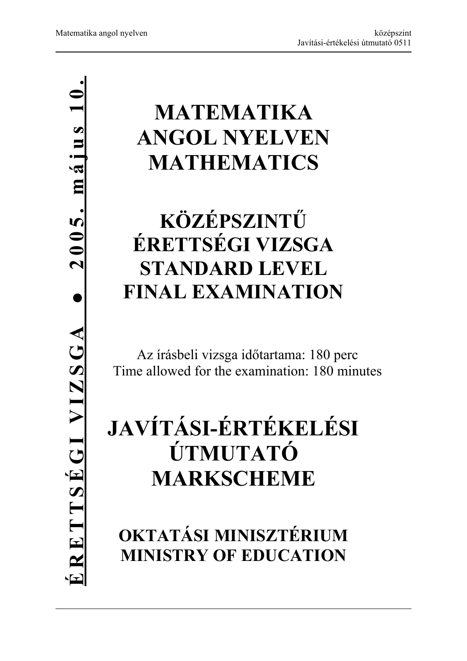# **ÉRETTSÉGI VIZSGA ● 2005. május 10.** $2005.$  május 10  $\bullet$ ERETTSEGIVIZSGA

# **MATEMATIKA ANGOL NYELVEN MATHEMATICS**

# **KÖZÉPSZINTŰ ÉRETTSÉGI VIZSGA STANDARD LEVEL FINAL EXAMINATION**

Az írásbeli vizsga időtartama: 180 perc Time allowed for the examination: 180 minutes

# **JAVÍTÁSI-ÉRTÉKELÉSI ÚTMUTATÓ MARKSCHEME**

**OKTATÁSI MINISZTÉRIUM MINISTRY OF EDUCATION**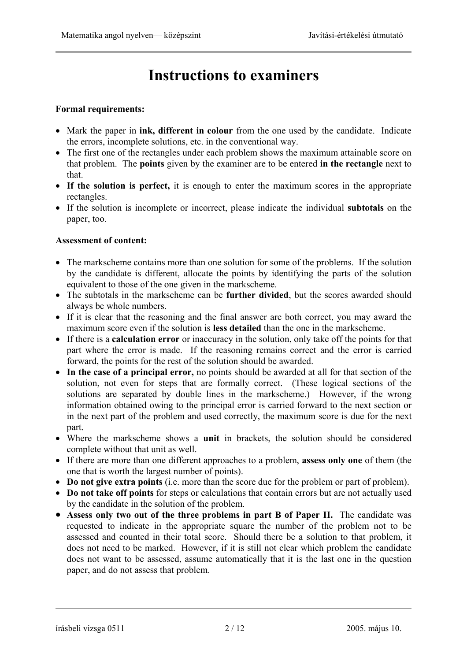## **Instructions to examiners**

### **Formal requirements:**

- Mark the paper in **ink, different in colour** from the one used by the candidate. Indicate the errors, incomplete solutions, etc. in the conventional way.
- The first one of the rectangles under each problem shows the maximum attainable score on that problem. The **points** given by the examiner are to be entered **in the rectangle** next to that.
- **If the solution is perfect,** it is enough to enter the maximum scores in the appropriate rectangles.
- If the solution is incomplete or incorrect, please indicate the individual **subtotals** on the paper, too.

### **Assessment of content:**

- The markscheme contains more than one solution for some of the problems. If the solution by the candidate is different, allocate the points by identifying the parts of the solution equivalent to those of the one given in the markscheme.
- The subtotals in the markscheme can be **further divided**, but the scores awarded should always be whole numbers.
- If it is clear that the reasoning and the final answer are both correct, you may award the maximum score even if the solution is **less detailed** than the one in the markscheme.
- If there is a **calculation error** or inaccuracy in the solution, only take off the points for that part where the error is made. If the reasoning remains correct and the error is carried forward, the points for the rest of the solution should be awarded.
- **In the case of a principal error,** no points should be awarded at all for that section of the solution, not even for steps that are formally correct. (These logical sections of the solutions are separated by double lines in the markscheme.) However, if the wrong information obtained owing to the principal error is carried forward to the next section or in the next part of the problem and used correctly, the maximum score is due for the next part.
- Where the markscheme shows a **unit** in brackets, the solution should be considered complete without that unit as well.
- If there are more than one different approaches to a problem, **assess only one** of them (the one that is worth the largest number of points).
- **Do not give extra points** (i.e. more than the score due for the problem or part of problem).
- **Do not take off points** for steps or calculations that contain errors but are not actually used by the candidate in the solution of the problem.
- **Assess only two out of the three problems in part B of Paper II.** The candidate was requested to indicate in the appropriate square the number of the problem not to be assessed and counted in their total score. Should there be a solution to that problem, it does not need to be marked. However, if it is still not clear which problem the candidate does not want to be assessed, assume automatically that it is the last one in the question paper, and do not assess that problem.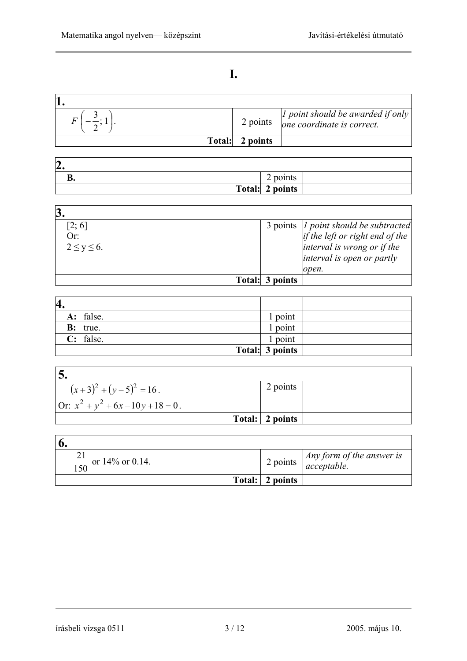### **I.**

|               | 2 points | I point should be awarded if only $\vert$<br>one coordinate is correct. |
|---------------|----------|-------------------------------------------------------------------------|
| <b>Total:</b> | 2 points |                                                                         |

| h<br>z. |                  |
|---------|------------------|
| D.      | ⌒<br>points<br>∽ |
|         | Total: 2 points  |

| [2; 6]<br>Or:<br>$2 \le y \le 6$ . |                 | 3 points   point should be subtracted<br>if the left or right end of the<br>interval is wrong or if the<br>interval is open or partly<br>open. |
|------------------------------------|-----------------|------------------------------------------------------------------------------------------------------------------------------------------------|
|                                    | Total: 3 points |                                                                                                                                                |

| 4.               |                 |  |
|------------------|-----------------|--|
| A: false.        | l point         |  |
| <b>B</b> : true. | l point         |  |
| $C:$ false.      | l point         |  |
|                  | Total: 3 points |  |

| $(x+3)^2 + (y-5)^2 = 16$ .            | 2 points        |  |
|---------------------------------------|-----------------|--|
| Or: $x^2 + y^2 + 6x - 10y + 18 = 0$ . |                 |  |
|                                       | Total: 2 points |  |

| $\frac{21}{150}$ or 14% or 0.14. |                 | 2 points $\sqrt{\frac{Any \, form \, of \, the \, answer \, i}{acceptable}}$ |
|----------------------------------|-----------------|------------------------------------------------------------------------------|
|                                  | Total: 2 points |                                                                              |

### írásbeli vizsga 0511 3 / 12 2005. május 10.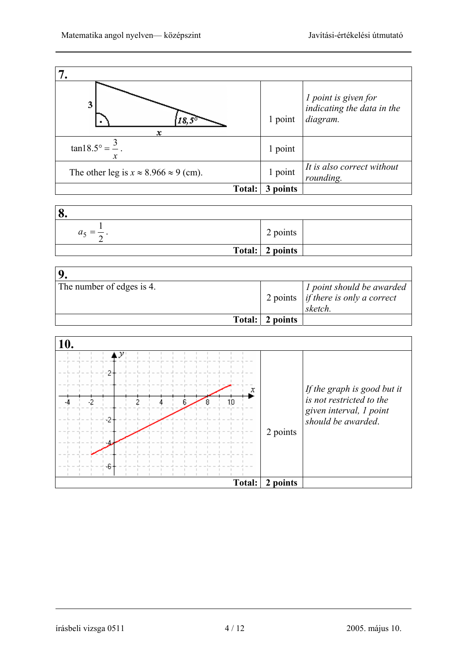| 3<br>x                                             | 1 point | <i>l</i> point is given for<br>indicating the data in the<br>diagram. |
|----------------------------------------------------|---------|-----------------------------------------------------------------------|
| $tan 18.5^{\circ} = \frac{3}{2}$<br>x              | 1 point |                                                                       |
| The other leg is $x \approx 8.966 \approx 9$ (cm). | 1 point | It is also correct without<br>rounding.                               |
| <b>Total:</b>                                      | points  |                                                                       |

| 8.      |                 |  |
|---------|-----------------|--|
| $a_5 =$ | 2 points        |  |
|         | Total: 2 points |  |

| The number of edges is 4. |                 | <i>l</i> point should be awarded<br>2 points $\int$ <i>if there is only a correct</i><br>sketch. |
|---------------------------|-----------------|--------------------------------------------------------------------------------------------------|
|                           | Total: 2 points |                                                                                                  |

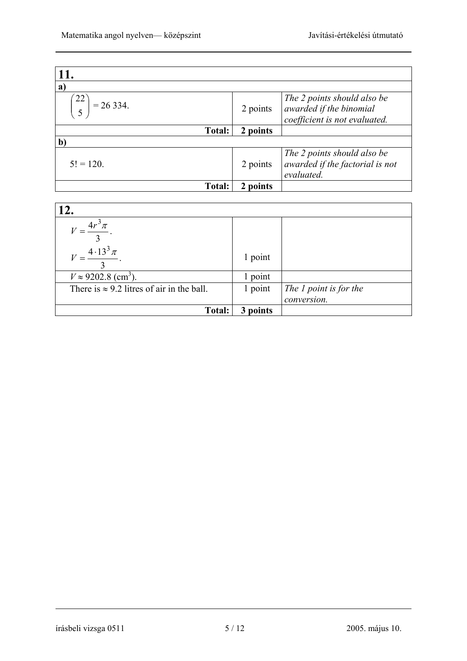| 11.                             |                        |                                                                                         |
|---------------------------------|------------------------|-----------------------------------------------------------------------------------------|
| $\mathbf{a}$                    |                        |                                                                                         |
| $22^{\circ}$<br>$= 26334.$<br>5 | 2 points               | The 2 points should also be<br>awarded if the binomial<br>coefficient is not evaluated. |
| Total:                          | 2 points               |                                                                                         |
| $\mathbf{b}$                    |                        |                                                                                         |
| $5! = 120.$                     | 2 points               | The 2 points should also be<br>awarded if the factorial is not<br>evaluated.            |
| Total:                          | points<br>$\mathbf{2}$ |                                                                                         |

| 12.                                               |             |                        |
|---------------------------------------------------|-------------|------------------------|
| $4r^3\pi$                                         |             |                        |
| $V = \frac{4.13^3 \pi}{4}$                        | 1 point     |                        |
| $V \approx 9202.8$ (cm <sup>3</sup> ).            | 1 point     |                        |
| There is $\approx 9.2$ litres of air in the ball. | 1 point     | The 1 point is for the |
|                                                   |             | conversion.            |
| <b>Total:</b>                                     | points<br>3 |                        |

írásbeli vizsga 0511 5 / 12 2005. május 10.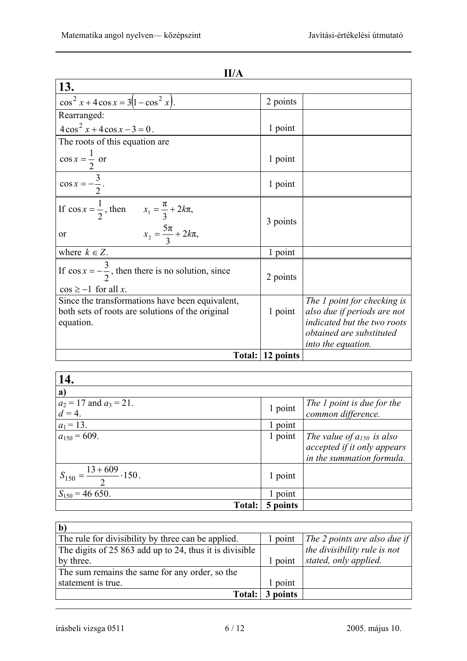| 13.                                                                                                              |                  |                                                                                                                                             |
|------------------------------------------------------------------------------------------------------------------|------------------|---------------------------------------------------------------------------------------------------------------------------------------------|
| $\cos^2 x + 4 \cos x = 3(1 - \cos^2 x).$                                                                         | 2 points         |                                                                                                                                             |
| Rearranged:                                                                                                      |                  |                                                                                                                                             |
| $4\cos^2 x + 4\cos x - 3 = 0$ .                                                                                  | 1 point          |                                                                                                                                             |
| The roots of this equation are.                                                                                  |                  |                                                                                                                                             |
| $\cos x = \frac{1}{2}$ or                                                                                        | 1 point          |                                                                                                                                             |
| $\cos x = -\frac{3}{2}.$                                                                                         | 1 point          |                                                                                                                                             |
| If $\cos x = \frac{1}{2}$ , then $x_1 = \frac{\pi}{3} + 2k\pi$ ,<br>$x_2 = \frac{5\pi}{3} + 2k\pi$ ,<br>or       | 3 points         |                                                                                                                                             |
| where $k \in Z$ .                                                                                                | 1 point          |                                                                                                                                             |
| If $\cos x = -\frac{3}{2}$ , then there is no solution, since<br>$\cos \ge -1$ for all x.                        | 2 points         |                                                                                                                                             |
| Since the transformations have been equivalent,<br>both sets of roots are solutions of the original<br>equation. | 1 point          | The 1 point for checking is<br>also due if periods are not<br>indicated but the two roots<br>obtained are substituted<br>into the equation. |
|                                                                                                                  | Total: 12 points |                                                                                                                                             |

| 14.                                        |          |                                                                                            |
|--------------------------------------------|----------|--------------------------------------------------------------------------------------------|
| a)                                         |          |                                                                                            |
| $a_2 = 17$ and $a_3 = 21$ .<br>$d=4$ .     | 1 point  | The 1 point is due for the<br>common difference.                                           |
| $a_1 = 13$ .                               | 1 point  |                                                                                            |
| $a_{150} = 609.$                           | 1 point  | The value of $a_{150}$ is also<br>accepted if it only appears<br>in the summation formula. |
| $S_{150} = \frac{13 + 609}{2} \cdot 150$ . | 1 point  |                                                                                            |
| $S_{150} = 46650.$                         | 1 point  |                                                                                            |
| Total:                                     | 5 points |                                                                                            |

| The rule for divisibility by three can be applied.      | point   | The 2 points are also due if |
|---------------------------------------------------------|---------|------------------------------|
| The digits of 25 863 add up to 24, thus it is divisible |         | the divisibility rule is not |
| by three.                                               | 1 point | stated, only applied.        |
| The sum remains the same for any order, so the          |         |                              |
| statement is true.                                      | point   |                              |
| <b>Total:</b>                                           | points  |                              |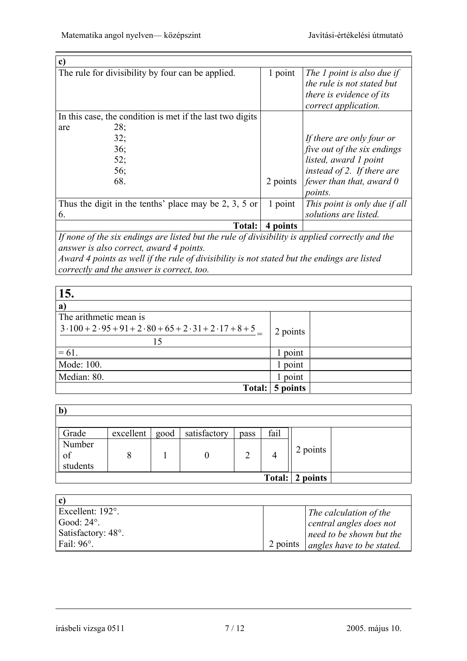| $\mathbf{c})$                                             |          |                                                                                                              |
|-----------------------------------------------------------|----------|--------------------------------------------------------------------------------------------------------------|
| The rule for divisibility by four can be applied.         | 1 point  | The 1 point is also due if<br>the rule is not stated but<br>there is evidence of its<br>correct application. |
| In this case, the condition is met if the last two digits |          |                                                                                                              |
| 28;<br>are                                                |          |                                                                                                              |
| 32;                                                       |          | If there are only four or                                                                                    |
| 36;                                                       |          | five out of the six endings                                                                                  |
| 52;                                                       |          | listed, award 1 point                                                                                        |
| 56;                                                       |          | instead of 2. If there are                                                                                   |
| 68.                                                       | 2 points | fewer than that, award $\theta$                                                                              |
|                                                           |          | <i>points.</i>                                                                                               |
| Thus the digit in the tenths' place may be 2, 3, 5 or     | 1 point  | This point is only due if all                                                                                |
| 6.                                                        |          | solutions are listed.                                                                                        |
| <b>Total:</b>                                             | points   |                                                                                                              |

*If none of the six endings are listed but the rule of divisibility is applied correctly and the answer is also correct, award 4 points.* 

*Award 4 points as well if the rule of divisibility is not stated but the endings are listed correctly and the answer is correct, too.*

| 15.                                                   |          |  |
|-------------------------------------------------------|----------|--|
| $\mathbf{a}$                                          |          |  |
| The arithmetic mean is                                |          |  |
| $3.100 + 2.95 + 91 + 2.80 + 65 + 2.31 + 2.17 + 8 + 5$ | 2 points |  |
| 15                                                    |          |  |
| $= 61.$                                               | 1 point  |  |
| Mode: 100.                                            | 1 point  |  |
| Median: 80.                                           | 1 point  |  |
| Total:                                                | 5 points |  |

| $\mathbf{b}$             |           |      |              |      |        |          |  |
|--------------------------|-----------|------|--------------|------|--------|----------|--|
|                          |           |      |              |      |        |          |  |
| Grade                    | excellent | good | satisfactory | pass | fail   |          |  |
| Number<br>of<br>students |           |      |              | っ    | 4      | 2 points |  |
|                          |           |      |              |      | Total: | 2 points |  |

| c                  |          |                           |
|--------------------|----------|---------------------------|
| Excellent: 192°.   |          | The calculation of the    |
| Good: $24^\circ$ . |          | central angles does not   |
| Satisfactory: 48°. |          | need to be shown but the  |
| Fail: $96^\circ$ . | 2 points | angles have to be stated. |

írásbeli vizsga 0511 7 / 12 2005. május 10.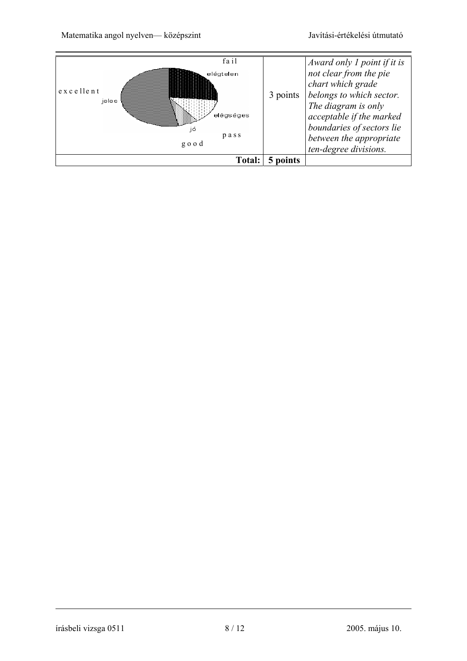Matematika angol nyelven— középszint Javítási-értékelési útmutató

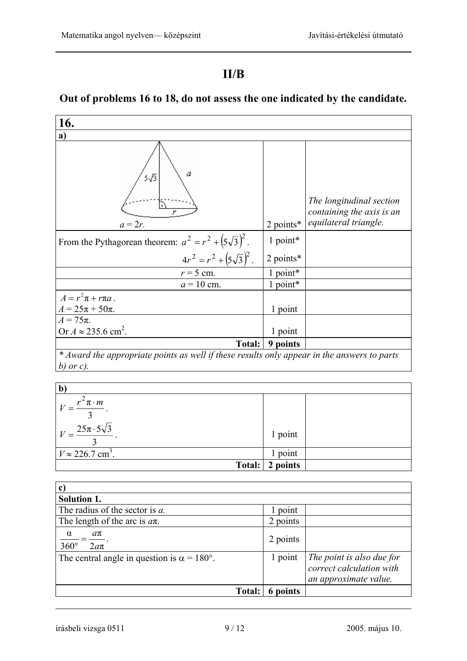### **II/B**

# **Out of problems 16 to 18, do not assess the one indicated by the candidate.**

| 16.                                                                                         |             |                                                                                |  |  |
|---------------------------------------------------------------------------------------------|-------------|--------------------------------------------------------------------------------|--|--|
| a)                                                                                          |             |                                                                                |  |  |
| α<br>5√3<br>$a=2r$ .                                                                        | $2$ points* | The longitudinal section<br>containing the axis is an<br>equilateral triangle. |  |  |
| From the Pythagorean theorem: $a^2 = r^2 + (5\sqrt{3})^2$ .                                 | 1 point*    |                                                                                |  |  |
| $4r^2 = r^2 + (5\sqrt{3})^2$ .                                                              | 2 points*   |                                                                                |  |  |
| $r = 5$ cm.                                                                                 | 1 point*    |                                                                                |  |  |
| $a = 10$ cm.                                                                                | 1 point*    |                                                                                |  |  |
| $A = r^2 \pi + r \pi a$ .<br>$A = 25\pi + 50\pi$ .                                          | 1 point     |                                                                                |  |  |
| $A = 75\pi$ .                                                                               |             |                                                                                |  |  |
| Or $A \approx 235.6$ cm <sup>2</sup> .                                                      | 1 point     |                                                                                |  |  |
| <b>Total:</b>                                                                               | 9 points    |                                                                                |  |  |
| * Award the appropriate points as well if these results only appear in the answers to parts |             |                                                                                |  |  |
| b) or c).                                                                                   |             |                                                                                |  |  |

| $\mathbf b$                           |          |  |
|---------------------------------------|----------|--|
| $r^2 \pi \cdot m$                     |          |  |
|                                       |          |  |
| $V = \frac{25\pi \cdot 5\sqrt{3}}{2}$ | 1 point  |  |
| $V \approx 226.7$ cm <sup>3</sup> .   | 1 point  |  |
| Total:                                | 2 points |  |

| $\mathbf{c}$                                              |          |                                                                                |
|-----------------------------------------------------------|----------|--------------------------------------------------------------------------------|
| <b>Solution 1.</b>                                        |          |                                                                                |
| The radius of the sector is a.                            | point    |                                                                                |
| The length of the arc is $a\pi$ .                         | 2 points |                                                                                |
| $\alpha$<br>$a\pi$<br>$360^\circ$<br>$2a\pi$              | 2 points |                                                                                |
| The central angle in question is $\alpha = 180^{\circ}$ . | 1 point  | The point is also due for<br>correct calculation with<br>an approximate value. |
| Total:                                                    | 6 points |                                                                                |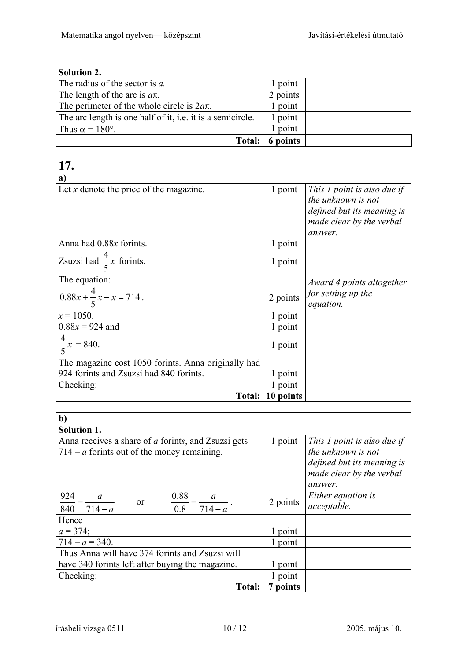| <b>Solution 2.</b>                                         |          |  |
|------------------------------------------------------------|----------|--|
| The radius of the sector is a.                             | point    |  |
| The length of the arc is $a\pi$ .                          | 2 points |  |
| The perimeter of the whole circle is $2a\pi$ .             | point    |  |
| The arc length is one half of it, i.e. it is a semicircle. | point    |  |
| Thus $\alpha = 180^\circ$ .                                | point    |  |
| <b>Total:</b>                                              | 6 points |  |

| 17.                                                 |                  |                                                                                                                        |
|-----------------------------------------------------|------------------|------------------------------------------------------------------------------------------------------------------------|
| a)                                                  |                  |                                                                                                                        |
| Let $x$ denote the price of the magazine.           | 1 point          | This 1 point is also due if<br>the unknown is not<br>defined but its meaning is<br>made clear by the verbal<br>answer. |
| Anna had 0.88x forints.                             | 1 point          |                                                                                                                        |
| Zsuzsi had $\frac{4}{5}x$ forints.                  | 1 point          |                                                                                                                        |
| The equation:                                       |                  | Award 4 points altogether                                                                                              |
| $0.88x + \frac{4}{5}x - x = 714$ .                  | 2 points         | for setting up the<br>equation.                                                                                        |
| $x = 1050$ .                                        | 1 point          |                                                                                                                        |
| $0.88x = 924$ and                                   | 1 point          |                                                                                                                        |
| $\frac{4}{5}x = 840.$                               | 1 point          |                                                                                                                        |
| The magazine cost 1050 forints. Anna originally had |                  |                                                                                                                        |
| 924 forints and Zsuzsi had 840 forints.             | 1 point          |                                                                                                                        |
| Checking:                                           | 1 point          |                                                                                                                        |
|                                                     | Total: 10 points |                                                                                                                        |

| $b$                                                                                                  |          |                                                                                                                        |
|------------------------------------------------------------------------------------------------------|----------|------------------------------------------------------------------------------------------------------------------------|
| <b>Solution 1.</b>                                                                                   |          |                                                                                                                        |
| Anna receives a share of a forints, and Zsuzsi gets<br>$714 - a$ forints out of the money remaining. | 1 point  | This 1 point is also due if<br>the unknown is not<br>defined but its meaning is<br>made clear by the verbal<br>answer. |
| 924<br>0.88<br>$\overline{a}$<br><sub>or</sub><br>$\frac{1}{714-a}$<br>840 $714 - a$<br>0.8          | 2 points | Either equation is<br>acceptable.                                                                                      |
| Hence                                                                                                |          |                                                                                                                        |
| $a = 374$ ;                                                                                          | point    |                                                                                                                        |
| $714 - a = 340.$                                                                                     | 1 point  |                                                                                                                        |
| Thus Anna will have 374 forints and Zsuzsi will                                                      |          |                                                                                                                        |
| have 340 forints left after buying the magazine.                                                     | point    |                                                                                                                        |
| Checking:                                                                                            | point    |                                                                                                                        |
| Total:                                                                                               | 7 points |                                                                                                                        |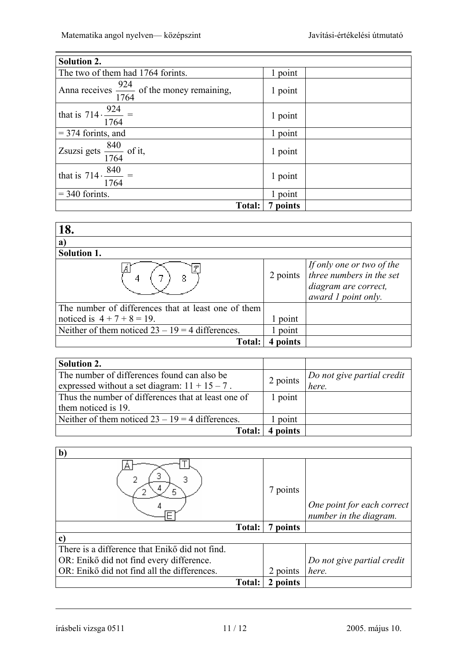| <b>Solution 2.</b>                                       |                   |  |
|----------------------------------------------------------|-------------------|--|
| The two of them had 1764 forints.                        | point             |  |
| Anna receives $\frac{924}{1764}$ of the money remaining, | 1 point           |  |
| that is $714 \cdot \frac{924}{1764}$ =                   | 1 point           |  |
| $=$ 374 forints, and                                     | 1 point           |  |
| $\sqrt{Z\text{suzsi gets}}$ $\frac{840}{1764}$ of it,    | 1 point           |  |
| that is $714 \cdot \frac{840}{14}$ =<br>1764             | 1 point           |  |
| $=$ 340 formts.                                          | point             |  |
|                                                          | Total:   7 points |  |

| 18.                                                 |          |                                                                                                      |
|-----------------------------------------------------|----------|------------------------------------------------------------------------------------------------------|
| a                                                   |          |                                                                                                      |
| <b>Solution 1.</b>                                  |          |                                                                                                      |
|                                                     | 2 points | If only one or two of the<br>three numbers in the set<br>diagram are correct,<br>award 1 point only. |
| The number of differences that at least one of them |          |                                                                                                      |
| noticed is $4 + 7 + 8 = 19$ .                       | point    |                                                                                                      |
| Neither of them noticed $23 - 19 = 4$ differences.  | point    |                                                                                                      |
| Total:                                              | points   |                                                                                                      |

| <b>Solution 2.</b>                                  |          |                            |
|-----------------------------------------------------|----------|----------------------------|
| The number of differences found can also be         |          | Do not give partial credit |
| expressed without a set diagram: $11 + 15 - 7$ .    | 2 points | here.                      |
| Thus the number of differences that at least one of | 1 point  |                            |
| them noticed is 19.                                 |          |                            |
| Neither of them noticed $23 - 19 = 4$ differences.  | point    |                            |
| <b>Total:</b>                                       | 4 points |                            |

| $\mathbf b$                                    |               |             |                                                      |
|------------------------------------------------|---------------|-------------|------------------------------------------------------|
|                                                |               | 7 points    | One point for each correct<br>number in the diagram. |
|                                                | Total:        | points<br>7 |                                                      |
| c                                              |               |             |                                                      |
| There is a difference that Enikő did not find. |               |             |                                                      |
| OR: Enikő did not find every difference.       |               |             | Do not give partial credit                           |
| OR: Enikő did not find all the differences.    |               | 2 points    | here.                                                |
|                                                | <b>Total:</b> | 2 points    |                                                      |